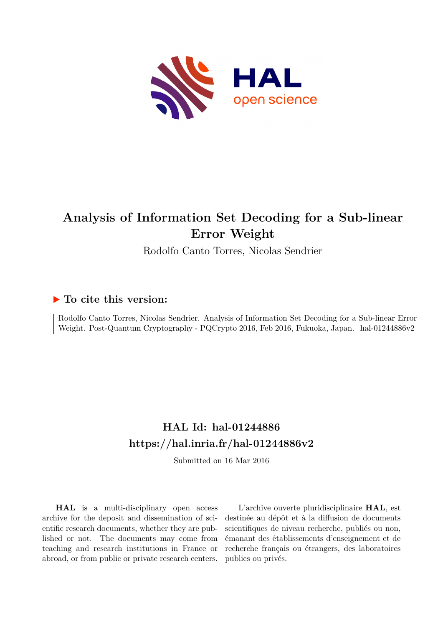

# **Analysis of Information Set Decoding for a Sub-linear Error Weight**

Rodolfo Canto Torres, Nicolas Sendrier

# **To cite this version:**

Rodolfo Canto Torres, Nicolas Sendrier. Analysis of Information Set Decoding for a Sub-linear Error Weight. Post-Quantum Cryptography - PQCrypto 2016, Feb 2016, Fukuoka, Japan. hal-01244886v2

# **HAL Id: hal-01244886 <https://hal.inria.fr/hal-01244886v2>**

Submitted on 16 Mar 2016

**HAL** is a multi-disciplinary open access archive for the deposit and dissemination of scientific research documents, whether they are published or not. The documents may come from teaching and research institutions in France or abroad, or from public or private research centers.

L'archive ouverte pluridisciplinaire **HAL**, est destinée au dépôt et à la diffusion de documents scientifiques de niveau recherche, publiés ou non, émanant des établissements d'enseignement et de recherche français ou étrangers, des laboratoires publics ou privés.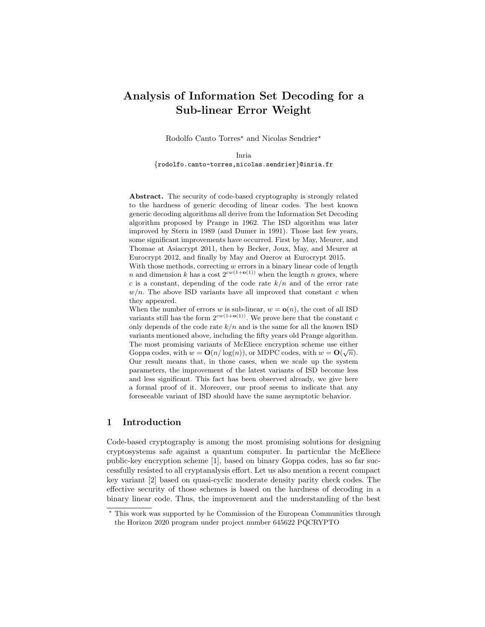# Analysis of Information Set Decoding for a Sub-linear Error Weight

Rodolfo Canto Torres<sup>\*</sup> and Nicolas Sendrier<sup>\*</sup>

Inria {rodolfo.canto-torres,nicolas.sendrier}@inria.fr

Abstract. The security of code-based cryptography is strongly related to the hardness of generic decoding of linear codes. The best known generic decoding algorithms all derive from the Information Set Decoding algorithm proposed by Prange in 1962. The ISD algorithm was later improved by Stern in 1989 (and Dumer in 1991). Those last few years, some significant improvements have occurred. First by May, Meurer, and Thomae at Asiacrypt 2011, then by Becker, Joux, May, and Meurer at Eurocrypt 2012, and finally by May and Ozerov at Eurocrypt 2015.

With those methods, correcting  $w$  errors in a binary linear code of length n and dimension k has a cost  $2^{cw(1+o(1))}$  when the length n grows, where c is a constant, depending of the code rate  $k/n$  and of the error rate  $w/n$ . The above ISD variants have all improved that constant c when they appeared.

When the number of errors w is sub-linear,  $w = o(n)$ , the cost of all ISD variants still has the form  $2^{cw(1+o(1))}$ . We prove here that the constant c only depends of the code rate  $k/n$  and is the same for all the known ISD variants mentioned above, including the fifty years old Prange algorithm. The most promising variants of McEliece encryption scheme use either  $\tilde{C}$ Goppa codes, with  $w = O(n/\log(n))$ , or MDPC codes, with  $w = O(\sqrt{n})$ . Our result means that, in those cases, when we scale up the system parameters, the improvement of the latest variants of ISD become less and less significant. This fact has been observed already, we give here a formal proof of it. Moreover, our proof seems to indicate that any foreseeable variant of ISD should have the same asymptotic behavior.

# 1 Introduction

Code-based cryptography is among the most promising solutions for designing cryptosystems safe against a quantum computer. In particular the McEliece public-key encryption scheme [1], based on binary Goppa codes, has so far successfully resisted to all cryptanalysis effort. Let us also mention a recent compact key variant [2] based on quasi-cyclic moderate density parity check codes. The effective security of those schemes is based on the hardness of decoding in a binary linear code. Thus, the improvement and the understanding of the best

<sup>?</sup> This work was supported by he Commission of the European Communities through the Horizon 2020 program under project number 645622 PQCRYPTO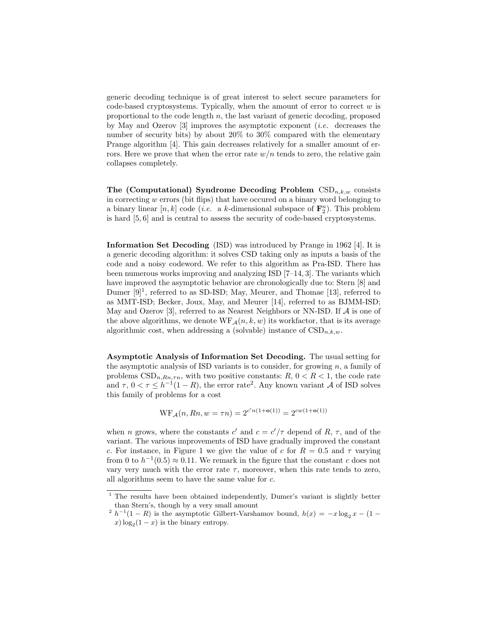generic decoding technique is of great interest to select secure parameters for code-based cryptosystems. Typically, when the amount of error to correct  $w$  is proportional to the code length  $n$ , the last variant of generic decoding, proposed by May and Ozerov [3] improves the asymptotic exponent (*i.e.* decreases the number of security bits) by about 20% to 30% compared with the elementary Prange algorithm [4]. This gain decreases relatively for a smaller amount of errors. Here we prove that when the error rate  $w/n$  tends to zero, the relative gain collapses completely.

The (Computational) Syndrome Decoding Problem  $\text{CSD}_{n,k,w}$  consists in correcting  $w$  errors (bit flips) that have occured on a binary word belonging to a binary linear  $[n, k]$  code (*i.e.* a k-dimensional subspace of  $\mathbf{F}_2^n$ ). This problem is hard [5, 6] and is central to assess the security of code-based cryptosystems.

Information Set Decoding (ISD) was introduced by Prange in 1962 [4]. It is a generic decoding algorithm: it solves CSD taking only as inputs a basis of the code and a noisy codeword. We refer to this algorithm as Pra-ISD. There has been numerous works improving and analyzing ISD [7–14, 3]. The variants which have improved the asymptotic behavior are chronologically due to: Stern [8] and Dumer [9]<sup>1</sup>, referred to as SD-ISD; May, Meurer, and Thomae [13], referred to as MMT-ISD; Becker, Joux, May, and Meurer [14], referred to as BJMM-ISD; May and Ozerov [3], referred to as Nearest Neighbors or NN-ISD. If  $A$  is one of the above algorithms, we denote  $WF_A(n, k, w)$  its workfactor, that is its average algorithmic cost, when addressing a (solvable) instance of  $\text{CSD}_{n,k,w}$ .

Asymptotic Analysis of Information Set Decoding. The usual setting for the asymptotic analysis of ISD variants is to consider, for growing  $n$ , a family of problems  $CSD_{n,Rn,\tau n}$ , with two positive constants:  $R, 0 < R < 1$ , the code rate and  $\tau$ ,  $0 < \tau \leq h^{-1}(1 - R)$ , the error rate<sup>2</sup>. Any known variant A of ISD solves this family of problems for a cost

$$
WF_{\mathcal{A}}(n, Rn, w = \tau n) = 2^{c'n(1 + o(1))} = 2^{cw(1 + o(1))}
$$

when *n* grows, where the constants  $c'$  and  $c = c'/\tau$  depend of R,  $\tau$ , and of the variant. The various improvements of ISD have gradually improved the constant c. For instance, in Figure 1 we give the value of c for  $R = 0.5$  and  $\tau$  varying from 0 to  $h^{-1}(0.5) \approx 0.11$ . We remark in the figure that the constant c does not vary very much with the error rate  $\tau$ , moreover, when this rate tends to zero, all algorithms seem to have the same value for c.

<sup>&</sup>lt;sup>1</sup> The results have been obtained independently, Dumer's variant is slightly better than Stern's, though by a very small amount

<sup>&</sup>lt;sup>2</sup>  $h^{-1}(1 - R)$  is the asymptotic Gilbert-Varshamov bound,  $h(x) = -x \log_2 x - (1$  $x) \log_2(1-x)$  is the binary entropy.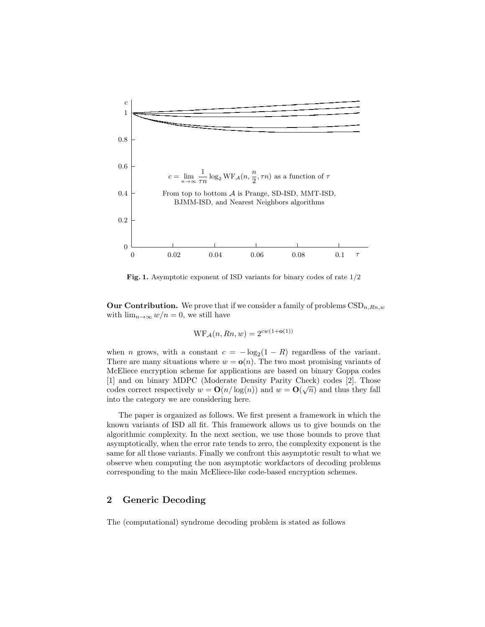

Fig. 1. Asymptotic exponent of ISD variants for binary codes of rate 1/2

**Our Contribution.** We prove that if we consider a family of problems  $\text{CSD}_{n,Rn,w}$ with  $\lim_{n\to\infty} w/n = 0$ , we still have

$$
WF_{\mathcal{A}}(n, Rn, w) = 2^{cw(1 + o(1))}
$$

when *n* grows, with a constant  $c = -\log_2(1 - R)$  regardless of the variant. There are many situations where  $w = o(n)$ . The two most promising variants of McEliece encryption scheme for applications are based on binary Goppa codes [1] and on binary MDPC (Moderate Density Parity Check) codes [2]. Those codes correct respectively  $w = O(n/\log(n))$  and  $w = O(\sqrt{n})$  and thus they fall into the category we are considering here.

The paper is organized as follows. We first present a framework in which the known variants of ISD all fit. This framework allows us to give bounds on the algorithmic complexity. In the next section, we use those bounds to prove that asymptotically, when the error rate tends to zero, the complexity exponent is the same for all those variants. Finally we confront this asymptotic result to what we observe when computing the non asymptotic workfactors of decoding problems corresponding to the main McEliece-like code-based encryption schemes.

## 2 Generic Decoding

The (computational) syndrome decoding problem is stated as follows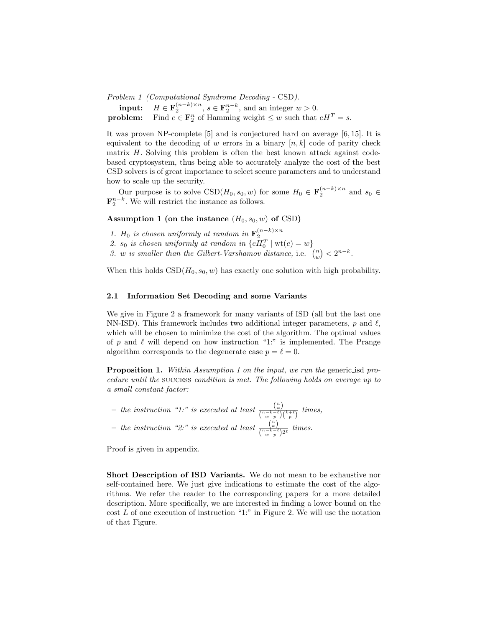Problem 1 (Computational Syndrome Decoding - CSD).

**input:**  $H \in \mathbf{F}_2^{(n-k)\times n}$ ,  $s \in \mathbf{F}_2^{n-k}$ , and an integer  $w > 0$ . **problem:** Find  $e \in \mathbf{F}_2^n$  of Hamming weight  $\leq w$  such that  $eH^T = s$ .

It was proven NP-complete [5] and is conjectured hard on average [6, 15]. It is equivalent to the decoding of w errors in a binary  $[n, k]$  code of parity check matrix  $H$ . Solving this problem is often the best known attack against codebased cryptosystem, thus being able to accurately analyze the cost of the best CSD solvers is of great importance to select secure parameters and to understand how to scale up the security.

Our purpose is to solve  $CSD(H_0, s_0, w)$  for some  $H_0 \in \mathbf{F}_2^{(n-k)\times n}$  and  $s_0 \in$  $\mathbf{F}_2^{n-k}$ . We will restrict the instance as follows.

Assumption 1 (on the instance  $(H_0, s_0, w)$  of CSD)

- 
- 1. H<sub>0</sub> is chosen uniformly at random in  $\mathbf{F}_2^{(n-k)\times n}$ <br>2. s<sub>0</sub> is chosen uniformly at random in  $\{eH_0^T \mid \text{wt}(e) = w\}$
- 3. w is smaller than the Gilbert-Varshamov distance, i.e.  $\binom{n}{w} < 2^{n-k}$ .

When this holds  $\text{CSD}(H_0, s_0, w)$  has exactly one solution with high probability.

#### 2.1 Information Set Decoding and some Variants

We give in Figure 2 a framework for many variants of ISD (all but the last one NN-ISD). This framework includes two additional integer parameters, p and  $\ell$ , which will be chosen to minimize the cost of the algorithm. The optimal values of p and  $\ell$  will depend on how instruction "1:" is implemented. The Prange algorithm corresponds to the degenerate case  $p = \ell = 0$ .

Proposition 1. Within Assumption 1 on the input, we run the generic isd procedure until the success condition is met. The following holds on average up to a small constant factor:

- the instruction "1:" is executed at least  $\frac{\binom{n}{w}}{\binom{n-k-\ell}{w}}$  $\frac{\binom{w}{w}}{\binom{n-k-\ell}{w-p}\binom{k+\ell}{p}}$  times, - the instruction "2:" is executed at least  $\frac{\binom{n}{w}}{\binom{n-k-\ell}{w}}$  $\frac{\binom{w}{w}}{\binom{n-k-\ell}{w-p}2^{\ell}}$  times.

Proof is given in appendix.

Short Description of ISD Variants. We do not mean to be exhaustive nor self-contained here. We just give indications to estimate the cost of the algorithms. We refer the reader to the corresponding papers for a more detailed description. More specifically, we are interested in finding a lower bound on the  $\cos t L$  of one execution of instruction "1:" in Figure 2. We will use the notation of that Figure.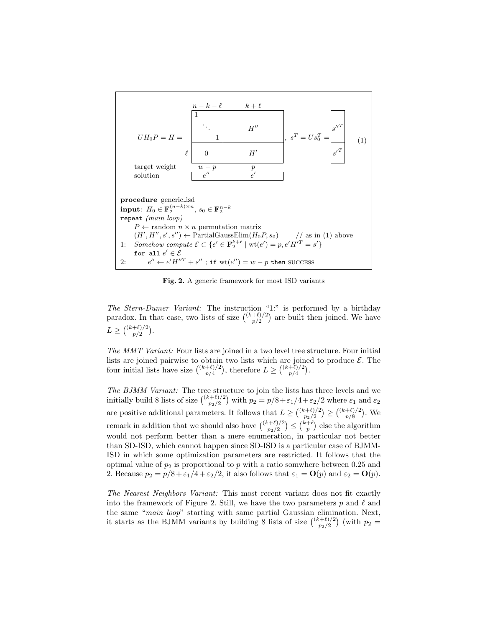

Fig. 2. A generic framework for most ISD variants

The Stern-Dumer Variant: The instruction "1:" is performed by a birthday paradox. In that case, two lists of size  $\binom{(k+\ell)/2}{n/2}$  $\binom{+\ell}{2}$  are built then joined. We have  $L \geq \binom{(k+\ell)/2}{n/2}$  $_{p/2}^{+\ell)/2}$ ).

The MMT Variant: Four lists are joined in a two level tree structure. Four initial lists are joined pairwise to obtain two lists which are joined to produce  $\mathcal{E}$ . The four initial lists have size  $\binom{(k+\ell)/2}{n/4}$  $\binom{+\ell/2}{p/4}$ , therefore  $L \geq \binom{(k+\ell)/2}{p/4}$  $_{p/4}^{+\ell)/2}$ .

The BJMM Variant: The tree structure to join the lists has three levels and we initially build 8 lists of size  $\binom{(k+\ell)/2}{n}$  $\int_{p_2/2}^{(p+1)/2} p_2(p)$  with  $p_2 = p/8 + \varepsilon_1/4 + \varepsilon_2/2$  where  $\varepsilon_1$  and  $\varepsilon_2$ are positive additional parameters. It follows that  $L \geq \binom{(k+\ell)/2}{n}$  $\binom{(k+\ell)/2}{p_2/2} \geq \binom{(k+\ell)/2}{p/8}$  $_{p/8}^{+\ell)/2}$ ). We remark in addition that we should also have  $\binom{(k+\ell)/2}{n}$  $\binom{(p+1)/2}{p_2/2} \leq \binom{k+\ell}{p}$  else the algorithm would not perform better than a mere enumeration, in particular not better than SD-ISD, which cannot happen since SD-ISD is a particular case of BJMM-ISD in which some optimization parameters are restricted. It follows that the optimal value of  $p_2$  is proportional to p with a ratio somwhere between 0.25 and 2. Because  $p_2 = p/8 + \varepsilon_1/4 + \varepsilon_2/2$ , it also follows that  $\varepsilon_1 = \mathbf{O}(p)$  and  $\varepsilon_2 = \mathbf{O}(p)$ .

The Nearest Neighbors Variant: This most recent variant does not fit exactly into the framework of Figure 2. Still, we have the two parameters p and  $\ell$  and the same "main loop" starting with same partial Gaussian elimination. Next, it starts as the BJMM variants by building 8 lists of size  $\binom{(k+\ell)/2}{n}$  $p_2^{(t+1)/2}$  (with  $p_2 =$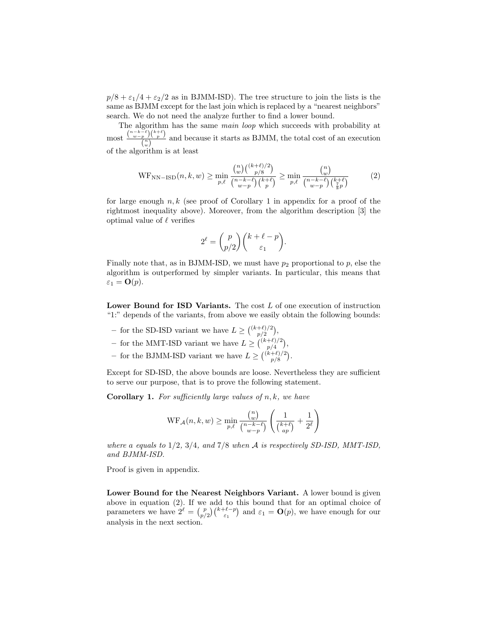$p/8 + \epsilon_1/4 + \epsilon_2/2$  as in BJMM-ISD). The tree structure to join the lists is the same as BJMM except for the last join which is replaced by a "nearest neighbors" search. We do not need the analyze further to find a lower bound.

The algorithm has the same main loop which succeeds with probability at most  $\frac{\binom{n-k-\ell}{w-p}\binom{k+\ell}{p}}{\binom{n}{p}}$  $\frac{p}{\binom{n}{w}}$  and because it starts as BJMM, the total cost of an execution of the algorithm is at least

$$
\text{WF}_{\text{NN-ISD}}(n,k,w) \ge \min_{p,\ell} \frac{\binom{n}{w} \binom{(k+\ell)/2}{p/8}}{\binom{n-k-\ell}{w-p} \binom{k+\ell}{p}} \ge \min_{p,\ell} \frac{\binom{n}{w}}{\binom{n-k-\ell}{w-p} \binom{k+\ell}{\frac{7}{8}p}} \tag{2}
$$

for large enough  $n, k$  (see proof of Corollary 1 in appendix for a proof of the rightmost inequality above). Moreover, from the algorithm description [3] the optimal value of  $\ell$  verifies

$$
2^{\ell} = \binom{p}{p/2} \binom{k+\ell-p}{\varepsilon_1}.
$$

Finally note that, as in BJMM-ISD, we must have  $p_2$  proportional to p, else the algorithm is outperformed by simpler variants. In particular, this means that  $\varepsilon_1 = \mathbf{O}(p)$ .

Lower Bound for ISD Variants. The cost  $L$  of one execution of instruction "1:" depends of the variants, from above we easily obtain the following bounds:

- for the SD-ISD variant we have  $L \geq \binom{(k+\ell)/2}{n/2}$  $_{p/2}^{+\ell)/2}$ ),
- for the MMT-ISD variant we have  $L \geq \binom{(k+\ell)/2}{n/\ell}$  $_{p/4}^{+\ell)/2}$ ),
- for the BJMM-ISD variant we have  $L \geq \binom{(k+\ell)/2}{n/8}$  $_{p/8}^{+\ell)/2}$ .

Except for SD-ISD, the above bounds are loose. Nevertheless they are sufficient to serve our purpose, that is to prove the following statement.

**Corollary 1.** For sufficiently large values of  $n, k$ , we have

$$
\operatorname{WF}_{\mathcal{A}}(n,k,w) \ge \min_{p,\ell} \frac{\binom{n}{w}}{\binom{n-k-\ell}{w-p}} \left( \frac{1}{\binom{k+\ell}{ap}} + \frac{1}{2^{\ell}} \right)
$$

where a equals to  $1/2$ ,  $3/4$ , and  $7/8$  when A is respectively SD-ISD, MMT-ISD, and BJMM-ISD.

Proof is given in appendix.

Lower Bound for the Nearest Neighbors Variant. A lower bound is given above in equation (2). If we add to this bound that for an optimal choice of parameters we have  $2^{\ell} = \binom{p}{p/2} \binom{k+\ell-p}{\varepsilon_1}$  and  $\varepsilon_1 = \mathbf{O}(p)$ , we have enough for our analysis in the next section.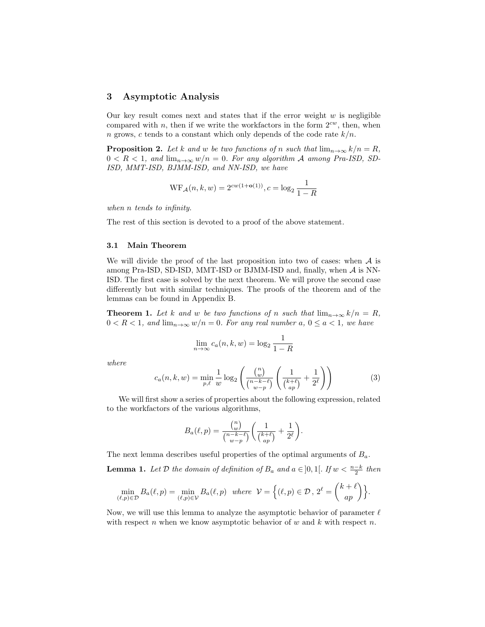#### 3 Asymptotic Analysis

Our key result comes next and states that if the error weight  $w$  is negligible compared with n, then if we write the workfactors in the form  $2^{cw}$ , then, when n grows, c tends to a constant which only depends of the code rate  $k/n$ .

**Proposition 2.** Let k and w be two functions of n such that  $\lim_{n\to\infty} k/n = R$ ,  $0 < R < 1$ , and  $\lim_{n \to \infty} w/n = 0$ . For any algorithm A among Pra-ISD, SD-ISD, MMT-ISD, BJMM-ISD, and NN-ISD, we have

$$
WF_{\mathcal{A}}(n,k,w) = 2^{cw(1+o(1))}, c = \log_2 \frac{1}{1-R}
$$

when n tends to infinity.

The rest of this section is devoted to a proof of the above statement.

#### 3.1 Main Theorem

We will divide the proof of the last proposition into two of cases: when  $A$  is among Pra-ISD, SD-ISD, MMT-ISD or BJMM-ISD and, finally, when  $A$  is NN-ISD. The first case is solved by the next theorem. We will prove the second case differently but with similar techniques. The proofs of the theorem and of the lemmas can be found in Appendix B.

**Theorem 1.** Let k and w be two functions of n such that  $\lim_{n\to\infty} k/n = R$ ,  $0 < R < 1$ , and  $\lim_{n \to \infty} w/n = 0$ . For any real number a,  $0 \le a < 1$ , we have

$$
\lim_{n \to \infty} c_a(n, k, w) = \log_2 \frac{1}{1 - R}
$$

where

$$
c_a(n,k,w) = \min_{p,\ell} \frac{1}{w} \log_2 \left( \frac{\binom{n}{w}}{\binom{n-k-\ell}{w-p}} \left( \frac{1}{\binom{k+\ell}{ap}} + \frac{1}{2^{\ell}} \right) \right) \tag{3}
$$

We will first show a series of properties about the following expression, related to the workfactors of the various algorithms,

$$
B_a(\ell, p) = \frac{\binom{n}{w}}{\binom{n-k-\ell}{w-p}} \left( \frac{1}{\binom{k+\ell}{ap}} + \frac{1}{2^{\ell}} \right).
$$

The next lemma describes useful properties of the optimal arguments of  $B_a$ .

**Lemma 1.** Let  $D$  the domain of definition of  $B_a$  and  $a \in ]0,1[$ . If  $w < \frac{n-k}{2}$  then

$$
\min_{(\ell,p)\in\mathcal{D}} B_a(\ell,p) = \min_{(\ell,p)\in\mathcal{V}} B_a(\ell,p) \quad \text{where} \quad \mathcal{V} = \left\{ (\ell,p)\in\mathcal{D}, \ 2^{\ell} = \binom{k+\ell}{ap} \right\}.
$$

Now, we will use this lemma to analyze the asymptotic behavior of parameter  $\ell$ with respect n when we know asymptotic behavior of  $w$  and  $k$  with respect  $n$ .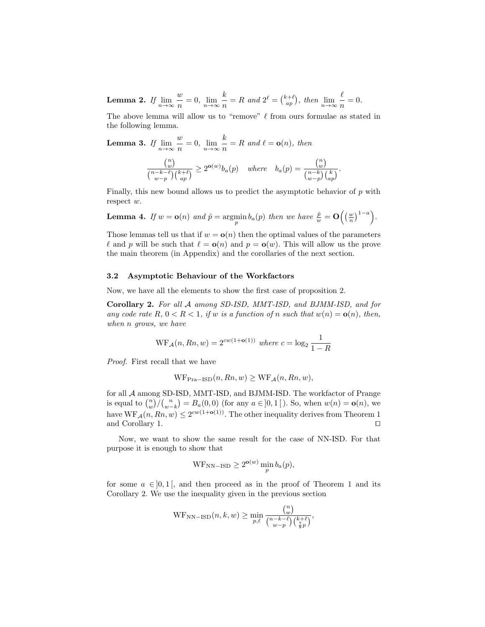Lemma 2. If  $\lim_{n\to\infty}\frac{w}{n}$  $\frac{w}{n} = 0, \lim_{n \to \infty} \frac{k}{n}$  $\frac{k}{n} = R$  and  $2^{\ell} = \binom{k+\ell}{ap}$ , then  $\lim_{n \to \infty} \frac{\ell}{n}$  $\frac{c}{n} = 0.$ 

The above lemma will allow us to "remove"  $\ell$  from ours formulae as stated in the following lemma.

Lemma 3. If  $\lim\limits_{n\to\infty}\frac{w}{n}$  $\frac{w}{n} = 0, \lim_{n \to \infty} \frac{k}{n}$  $\frac{n}{n} = R$  and  $\ell = o(n)$ , then

$$
\frac{\binom{n}{w}}{\binom{n-k-\ell}{w-p}\binom{k+\ell}{ap}} \ge 2^{\mathbf{o}(w)} b_a(p) \quad \text{where} \quad b_a(p) = \frac{\binom{n}{w}}{\binom{n-k}{w-p}\binom{k}{ap}}.
$$

Finally, this new bound allows us to predict the asymptotic behavior of  $p$  with respect w.

**Lemma 4.** If 
$$
w = \mathbf{o}(n)
$$
 and  $\hat{p} = \underset{p}{\operatorname{argmin}} b_a(p)$  then we have  $\frac{\hat{p}}{w} = \mathbf{O}\left(\left(\frac{w}{n}\right)^{1-a}\right)$ .

Those lemmas tell us that if  $w = o(n)$  then the optimal values of the parameters  $\ell$  and p will be such that  $\ell = o(n)$  and  $p = o(w)$ . This will allow us the prove the main theorem (in Appendix) and the corollaries of the next section.

#### 3.2 Asymptotic Behaviour of the Workfactors

Now, we have all the elements to show the first case of proposition 2.

Corollary 2. For all A among SD-ISD, MMT-ISD, and BJMM-ISD, and for any code rate R,  $0 < R < 1$ , if w is a function of n such that  $w(n) = o(n)$ , then, when n grows, we have

$$
WF_A(n, Rn, w) = 2^{cw(1+o(1))}
$$
 where  $c = \log_2 \frac{1}{1-R}$ 

Proof. First recall that we have

$$
WF_{\text{Pra-ISD}}(n, Rn, w) \ge WF_{\mathcal{A}}(n, Rn, w),
$$

for all A among SD-ISD, MMT-ISD, and BJMM-ISD. The workfactor of Prange is equal to  $\binom{n}{w}$   $\binom{n}{w-k} = B_a(0,0)$  (for any  $a \in ]0,1[$ ). So, when  $w(n) = o(n)$ , we have  $WF_A(n, Rn, w) \leq 2^{cw(1+o(1))}$ . The other inequality derives from Theorem 1 and Corollary 1.  $\Box$ 

Now, we want to show the same result for the case of NN-ISD. For that purpose it is enough to show that

$$
WF_{NN-ISD} \ge 2^{\mathbf{o}(w)} \min_{p} b_a(p),
$$

for some  $a \in ]0,1[$ , and then proceed as in the proof of Theorem 1 and its Corollary 2. We use the inequality given in the previous section

$$
\operatorname{WF}_{\mathrm{NN-ISD}}(n,k,w) \geq \min_{p,\ell} \frac{\binom{n}{w}}{\binom{n-k-\ell}{w-p}\binom{k+\ell}{\frac{7}{8}p}},
$$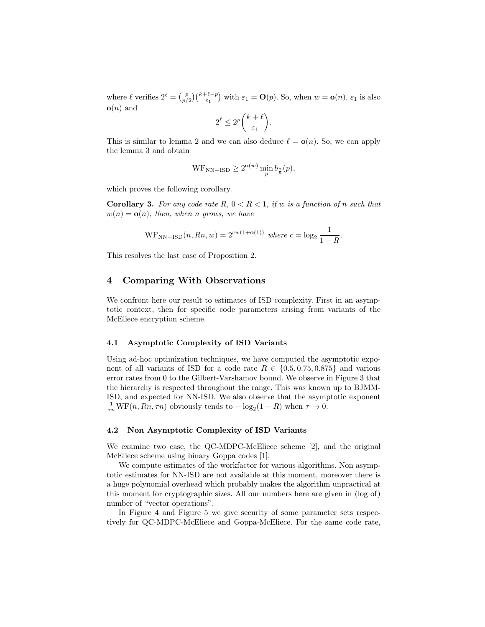where  $\ell$  verifies  $2^{\ell} = {p \choose p/2} {k+\ell-p \choose \varepsilon_1}$  with  $\varepsilon_1 = \mathbf{O}(p)$ . So, when  $w = \mathbf{o}(n)$ ,  $\varepsilon_1$  is also  $o(n)$  and

$$
2^{\ell} \le 2^p \binom{k+\ell}{\varepsilon_1}.
$$

This is similar to lemma 2 and we can also deduce  $\ell = \mathbf{o}(n)$ . So, we can apply the lemma 3 and obtain

$$
WF_{NN-ISD} \ge 2^{\mathbf{o}(w)} \min_{p} b_{\frac{7}{8}}(p),
$$

which proves the following corollary.

**Corollary 3.** For any code rate  $R$ ,  $0 < R < 1$ , if w is a function of n such that  $w(n) = o(n)$ , then, when n grows, we have

$$
WF_{NN-ISD}(n, Rn, w) = 2^{cw(1+o(1))}
$$
 where  $c = \log_2 \frac{1}{1-R}$ .

This resolves the last case of Proposition 2.

## 4 Comparing With Observations

We confront here our result to estimates of ISD complexity. First in an asymptotic context, then for specific code parameters arising from variants of the McEliece encryption scheme.

#### 4.1 Asymptotic Complexity of ISD Variants

Using ad-hoc optimization techniques, we have computed the asymptotic exponent of all variants of ISD for a code rate  $R \in \{0.5, 0.75, 0.875\}$  and various error rates from 0 to the Gilbert-Varshamov bound. We observe in Figure 3 that the hierarchy is respected throughout the range. This was known up to BJMM-ISD, and expected for NN-ISD. We also observe that the asymptotic exponent  $\frac{1}{\tau n} \text{WF}(n, Rn, \tau n)$  obviously tends to  $-\log_2(1 - R)$  when  $\tau \to 0$ .

#### 4.2 Non Asymptotic Complexity of ISD Variants

We examine two case, the QC-MDPC-McEliece scheme [2], and the original McEliece scheme using binary Goppa codes [1].

We compute estimates of the workfactor for various algorithms. Non asymptotic estimates for NN-ISD are not available at this moment, moreover there is a huge polynomial overhead which probably makes the algorithm unpractical at this moment for cryptographic sizes. All our numbers here are given in (log of) number of "vector operations".

In Figure 4 and Figure 5 we give security of some parameter sets respectively for QC-MDPC-McEliece and Goppa-McEliece. For the same code rate,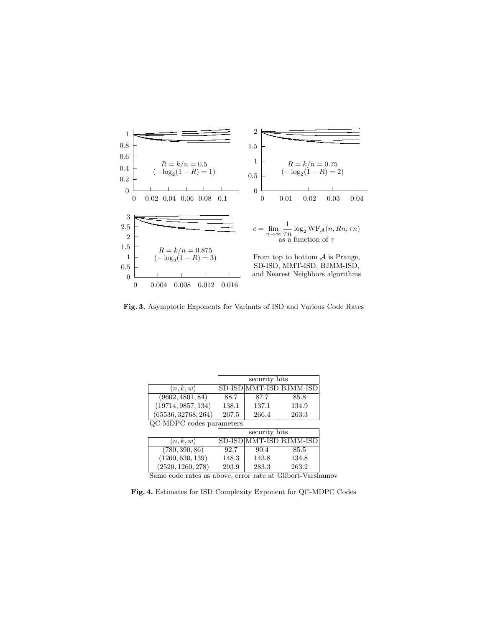

Fig. 3. Asymptotic Exponents for Variants of ISD and Various Code Rates

|                          | security bits |       |                             |  |  |
|--------------------------|---------------|-------|-----------------------------|--|--|
| (n,k,w)                  |               |       | SD-ISD MMT-ISD BJMM-ISD     |  |  |
| (9602, 4801, 84)         | 88.7          | 87.7  | 85.8                        |  |  |
| (19714, 9857, 134)       | 138.1         | 137.1 | 134.9                       |  |  |
| (65536, 32768, 264)      | 267.5         | 266.4 | 263.3                       |  |  |
| QC-MDPC codes parameters |               |       |                             |  |  |
|                          | security bits |       |                             |  |  |
| (n, k, w)                |               |       | SD-ISD MMT-ISD BJMM-ISD     |  |  |
| (780, 390, 86)           | 92.7          | 90.4  | 85.5                        |  |  |
| (1260, 630, 139)         | 148.3         | 143.8 | 134.8                       |  |  |
| (2520, 1260, 278)        | 293.9         | 283.3 | 263.2                       |  |  |
| $\sim$                   |               |       | $\sim$ . 11<br>$\mathbf{X}$ |  |  |

Same code rates as above, error rate at Gilbert-Varshamov

Fig. 4. Estimates for ISD Complexity Exponent for QC-MDPC Codes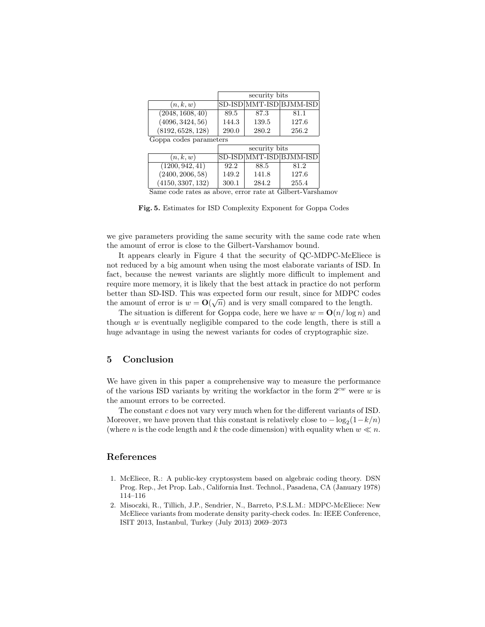|                          | security bits |       |                             |  |  |
|--------------------------|---------------|-------|-----------------------------|--|--|
| (n, k, w)                |               |       | SD-ISD MMT-ISD BJMM-ISD     |  |  |
| (2048, 1608, 40)         | 89.5          | 87.3  | 81.1                        |  |  |
| (4096, 3424, 56)         | 144.3         | 139.5 | 127.6                       |  |  |
| (8192, 6528, 128)        | 290.0         | 280.2 | 256.2                       |  |  |
| Goppa codes parameters   |               |       |                             |  |  |
|                          | security bits |       |                             |  |  |
| (n, k, w)                |               |       | SD-ISD MMT-ISD BJMM-ISD     |  |  |
| (1200, 942, 41)          | 92.2          | 88.5  | 81.2                        |  |  |
| (2400, 2006, 58)         | 149.2         | 141.8 | 127.6                       |  |  |
| (4150, 3307, 132)        | 300.1         | 284.2 | 255.4                       |  |  |
| $\overline{\phantom{a}}$ |               |       | $\sim \cdot \cdot$<br>$  -$ |  |  |

Same code rates as above, error rate at Gilbert-Varshamov

Fig. 5. Estimates for ISD Complexity Exponent for Goppa Codes

we give parameters providing the same security with the same code rate when the amount of error is close to the Gilbert-Varshamov bound.

It appears clearly in Figure 4 that the security of QC-MDPC-McEliece is not reduced by a big amount when using the most elaborate variants of ISD. In fact, because the newest variants are slightly more difficult to implement and require more memory, it is likely that the best attack in practice do not perform better than SD-ISD. This was expected form our result, since for MDPC codes √ the amount of error is  $w = \mathbf{O}(\sqrt{n})$  and is very small compared to the length.

The situation is different for Goppa code, here we have  $w = O(n/\log n)$  and though  $w$  is eventually negligible compared to the code length, there is still a huge advantage in using the newest variants for codes of cryptographic size.

### 5 Conclusion

We have given in this paper a comprehensive way to measure the performance of the various ISD variants by writing the workfactor in the form  $2^{cw}$  were w is the amount errors to be corrected.

The constant  $c$  does not vary very much when for the different variants of ISD. Moreover, we have proven that this constant is relatively close to  $-\log_2(1-k/n)$ (where *n* is the code length and *k* the code dimension) with equality when  $w \ll n$ .

# References

- 1. McEliece, R.: A public-key cryptosystem based on algebraic coding theory. DSN Prog. Rep., Jet Prop. Lab., California Inst. Technol., Pasadena, CA (January 1978) 114–116
- 2. Misoczki, R., Tillich, J.P., Sendrier, N., Barreto, P.S.L.M.: MDPC-McEliece: New McEliece variants from moderate density parity-check codes. In: IEEE Conference, ISIT 2013, Instanbul, Turkey (July 2013) 2069–2073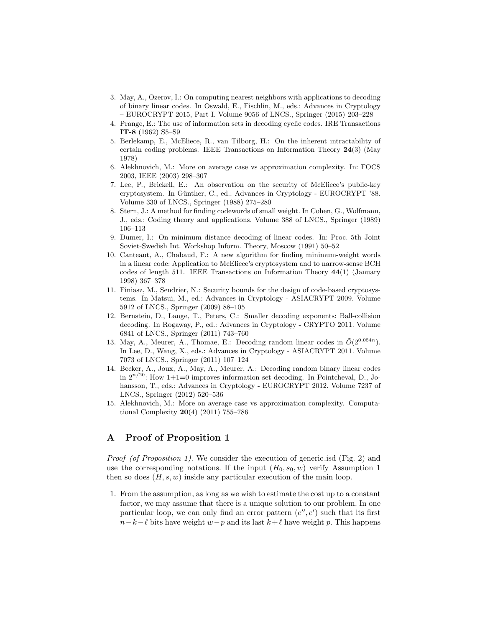- 3. May, A., Ozerov, I.: On computing nearest neighbors with applications to decoding of binary linear codes. In Oswald, E., Fischlin, M., eds.: Advances in Cryptology – EUROCRYPT 2015, Part I. Volume 9056 of LNCS., Springer (2015) 203–228
- 4. Prange, E.: The use of information sets in decoding cyclic codes. IRE Transactions IT-8 (1962) S5–S9
- 5. Berlekamp, E., McEliece, R., van Tilborg, H.: On the inherent intractability of certain coding problems. IEEE Transactions on Information Theory 24(3) (May 1978)
- 6. Alekhnovich, M.: More on average case vs approximation complexity. In: FOCS 2003, IEEE (2003) 298–307
- 7. Lee, P., Brickell, E.: An observation on the security of McEliece's public-key cryptosystem. In Günther, C., ed.: Advances in Cryptology - EUROCRYPT '88. Volume 330 of LNCS., Springer (1988) 275–280
- 8. Stern, J.: A method for finding codewords of small weight. In Cohen, G., Wolfmann, J., eds.: Coding theory and applications. Volume 388 of LNCS., Springer (1989) 106–113
- 9. Dumer, I.: On minimum distance decoding of linear codes. In: Proc. 5th Joint Soviet-Swedish Int. Workshop Inform. Theory, Moscow (1991) 50–52
- 10. Canteaut, A., Chabaud, F.: A new algorithm for finding minimum-weight words in a linear code: Application to McEliece's cryptosystem and to narrow-sense BCH codes of length 511. IEEE Transactions on Information Theory  $44(1)$  (January 1998) 367–378
- 11. Finiasz, M., Sendrier, N.: Security bounds for the design of code-based cryptosystems. In Matsui, M., ed.: Advances in Cryptology - ASIACRYPT 2009. Volume 5912 of LNCS., Springer (2009) 88–105
- 12. Bernstein, D., Lange, T., Peters, C.: Smaller decoding exponents: Ball-collision decoding. In Rogaway, P., ed.: Advances in Cryptology - CRYPTO 2011. Volume 6841 of LNCS., Springer (2011) 743–760
- 13. May, A., Meurer, A., Thomae, E.: Decoding random linear codes in  $O(2^{0.054n})$ . In Lee, D., Wang, X., eds.: Advances in Cryptology - ASIACRYPT 2011. Volume 7073 of LNCS., Springer (2011) 107–124
- 14. Becker, A., Joux, A., May, A., Meurer, A.: Decoding random binary linear codes in  $2^{n/20}$ : How 1+1=0 improves information set decoding. In Pointcheval, D., Johansson, T., eds.: Advances in Cryptology - EUROCRYPT 2012. Volume 7237 of LNCS., Springer (2012) 520–536
- 15. Alekhnovich, M.: More on average case vs approximation complexity. Computational Complexity 20(4) (2011) 755–786

## A Proof of Proposition 1

Proof (of Proposition 1). We consider the execution of generic isd (Fig. 2) and use the corresponding notations. If the input  $(H_0, s_0, w)$  verify Assumption 1 then so does  $(H, s, w)$  inside any particular execution of the main loop.

1. From the assumption, as long as we wish to estimate the cost up to a constant factor, we may assume that there is a unique solution to our problem. In one particular loop, we can only find an error pattern  $(e'', e')$  such that its first  $n-k-\ell$  bits have weight  $w-p$  and its last  $k+\ell$  have weight p. This happens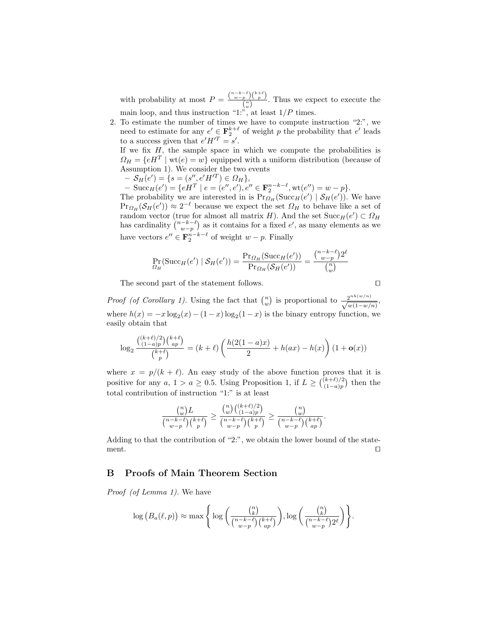with probability at most  $P = \frac{\binom{n-k-\ell}{w-p} \binom{k+\ell}{p}}{\binom{n}{k}}$  $\frac{p}{\binom{n}{w}}$ . Thus we expect to execute the main loop, and thus instruction "1:", at least  $1/P$  times.

2. To estimate the number of times we have to compute instruction "2:", we need to estimate for any  $e' \in \mathbf{F}_2^{k+\ell}$  of weight p the probability that  $e'$  leads to a success given that  $e'H'^T = s'$ .

If we fix  $H$ , the sample space in which we compute the probabilities is  $\Omega_H = \{e^{iH} \mid \text{wt}(e) = w\}$  equipped with a uniform distribution (because of Assumption 1). We consider the two events

- $S_H(e') = \{ s = (s'', e'H'^T) \in \Omega_H \},\$
- $-$  Succ<sub>H</sub>(e') = {eH<sup>T</sup> | e = (e'', e'), e''  $\in \mathbf{F}_2^{n-k-\ell}$ , wt(e'') = w p}.

The probability we are interested in is  $Pr_{Q_H}(\text{Succ}_H(e') | \mathcal{S}_H(e'))$ . We have  $\Pr_{\Omega_H}(\mathcal{S}_H(e')) \approx 2^{-\ell}$  because we expect the set  $\Omega_H$  to behave like a set of random vector (true for almost all matrix H). And the set  $Succ_H(e') \subset \Omega_H$ has cardinality  $\binom{n-k-\ell}{w-p}$  as it contains for a fixed e', as many elements as we have vectors  $e'' \in \mathbf{F}_2^{n-k-\ell}$  of weight  $w-p$ . Finally

$$
\Pr_{\Omega_H}(\text{Succ}_H(e') \mid \mathcal{S}_H(e')) = \frac{\Pr_{\Omega_H}(\text{Succ}_H(e'))}{\Pr_{\Omega_H}(\mathcal{S}_H(e'))} = \frac{\binom{n-k-\ell}{w-p}2^{\ell}}{\binom{n}{w}}
$$

The second part of the statement follows.  $\Box$ 

*Proof (of Corollary 1)*. Using the fact that  $\binom{n}{w}$  is proportional to  $\frac{2^{nh(w/n)}}{\sqrt{w(1-w/n)}}$ , where  $h(x) = -x \log_2(x) - (1-x) \log_2(1-x)$  is the binary entropy function, we easily obtain that

$$
\log_2 \frac{\binom{(k+\ell)/2}{(1-a)p} \binom{k+\ell}{ap}}{\binom{k+\ell}{p}} = (k+\ell) \left( \frac{h(2(1-a)x)}{2} + h(ax) - h(x) \right) (1 + \mathbf{o}(x))
$$

where  $x = p/(k + \ell)$ . An easy study of the above function proves that it is positive for any  $a, 1 > a \ge 0.5$ . Using Proposition 1, if  $L \ge \binom{(k+\ell)/2}{(1-\epsilon)n}$  $\binom{(k+\ell)/2}{(1-a)p}$  then the total contribution of instruction "1:" is at least

$$
\frac{{n\choose w}L}{{n-k-\ell \choose w-p}{k+\ell \choose p}} \ge \frac{{n\choose w}{k+\ell/2 \choose (1-a)p}}{{n-k-\ell \choose w-p}{k+\ell \choose p}} \ge \frac{{n \choose w}{k+\ell \choose w-p}}{{n-k-\ell \choose w-p}{k+\ell \choose ap}}.
$$

Adding to that the contribution of "2:", we obtain the lower bound of the statement.  $\Box$ 

#### B Proofs of Main Theorem Section

Proof (of Lemma 1). We have

$$
\log\left(B_a(\ell,p)\right) \approx \max\Bigg\{\log\bigg(\frac{\binom{n}{k}}{\binom{n-k-\ell}{w-p}\binom{k+\ell}{ap}}\bigg), \log\bigg(\frac{\binom{n}{k}}{\binom{n-k-\ell}{w-p}2^{\ell}}\bigg)\Bigg\}.
$$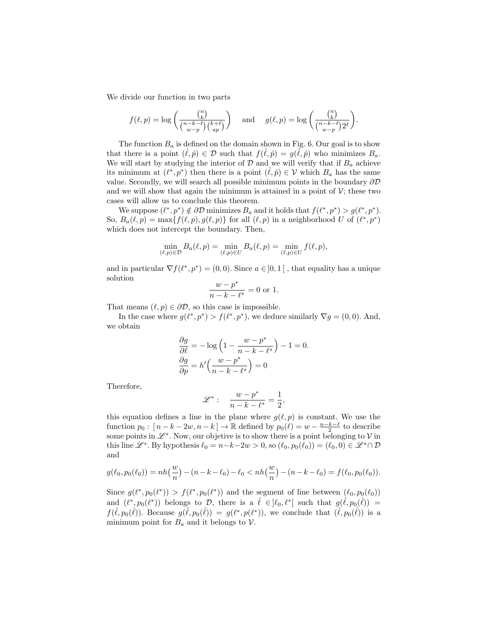We divide our function in two parts

$$
f(\ell,p)=\log\bigg(\frac{\binom{n}{k}}{\binom{n-k-\ell}{w-p}\binom{k+\ell}{ap}}\bigg)\quad\text{ and }\quad g(\ell,p)=\log\bigg(\frac{\binom{n}{k}}{\binom{n-k-\ell}{w-p}2^{\ell}}\bigg).
$$

The function  $B_a$  is defined on the domain shown in Fig. 6. Our goal is to show that there is a point  $(\hat{\ell}, \hat{p}) \in \mathcal{D}$  such that  $f(\hat{\ell}, \hat{p}) = g(\tilde{\ell}, \hat{p})$  who minimizes  $B_a$ . We will start by studying the interior of  $D$  and we will verify that if  $B_a$  achieve its minimum at  $(\ell^*, p^*)$  then there is a point  $(\hat{\ell}, \hat{p}) \in \mathcal{V}$  which  $B_a$  has the same value. Secondly, we will search all possible minimum points in the boundary  $\partial \mathcal{D}$ and we will show that again the minimum is attained in a point of  $\mathcal{V}$ ; these two cases will allow us to conclude this theorem.

We suppose  $(\ell^*, p^*) \notin \partial \mathcal{D}$  minimizes  $B_a$  and it holds that  $f(\ell^*, p^*) > g(\ell^*, p^*)$ . So,  $B_a(\ell, p) = \max\{f(\ell, p), g(\ell, p)\}\$ for all  $(\ell, p)$  in a neighborhood U of  $(\ell^*, p^*)$ which does not intercept the boundary. Then,

$$
\min_{(\ell,p)\in\mathcal{D}} B_a(\ell,p) = \min_{(\ell,p)\in U} B_a(\ell,p) = \min_{(\ell,p)\in U} f(\ell,p),
$$

and in particular  $\nabla f(\ell^*, p^*) = (0, 0)$ . Since  $a \in ]0, 1[$ , that equality has a unique solution

$$
\frac{w - p^*}{n - k - \ell^*} = 0
$$
 or 1.

That means  $(\ell, p) \in \partial \mathcal{D}$ , so this case is impossible.

In the case where  $g(\ell^*, p^*) > f(\ell^*, p^*)$ , we deduce similarly  $\nabla g = (0, 0)$ . And, we obtain

$$
\frac{\partial g}{\partial \ell} = -\log\left(1 - \frac{w - p^*}{n - k - \ell^*}\right) - 1 = 0.
$$

$$
\frac{\partial g}{\partial p} = h' \left(\frac{w - p^*}{n - k - \ell^*}\right) = 0
$$

Therefore,

$$
\mathscr{L}^*:\quad \frac{w-p^*}{n-k-\ell^*}=\frac{1}{2},
$$

this equation defines a line in the plane where  $g(\ell, p)$  is constant. We use the function  $p_0: [n-k-2w, n-k] \to \mathbb{R}$  defined by  $p_0(\ell) = w - \frac{n-k-\ell}{2}$  to describe some points in  $\mathscr{L}^\ast$ . Now, our objetive is to show there is a point belonging to  $\mathcal V$  in this line  $\mathscr{L}^*$ . By hypothesis  $\ell_0 = n-k-2w > 0$ , so  $(\ell_0, p_0(\ell_0)) = (\ell_0, 0) \in \mathscr{L}^* \cap \mathcal{D}$ and

$$
g(\ell_0, p_0(\ell_0)) = nh\left(\frac{w}{n}\right) - (n - k - \ell_0) - \ell_0 < nh\left(\frac{w}{n}\right) - (n - k - \ell_0) = f(\ell_0, p_0(\ell_0)).
$$

Since  $g(\ell^*, p_0(\ell^*)) > f(\ell^*, p_0(\ell^*))$  and the segment of line between  $(\ell_0, p_0(\ell_0))$ and  $(\ell^*, p_0(\ell^*))$  belongs to D, there is a  $\hat{\ell} \in ]\ell_0, \ell^*[$  such that  $g(\hat{\ell}, p_0(\hat{\ell})) =$  $f(\hat{\ell}, p_0(\hat{\ell}))$ . Because  $g(\hat{\ell}, p_0(\hat{\ell})) = g(\ell^*, p(\ell^*))$ , we conclude that  $(\hat{\ell}, p_0(\hat{\ell}))$  is a minimum point for  $B_a$  and it belongs to  $\mathcal V$ .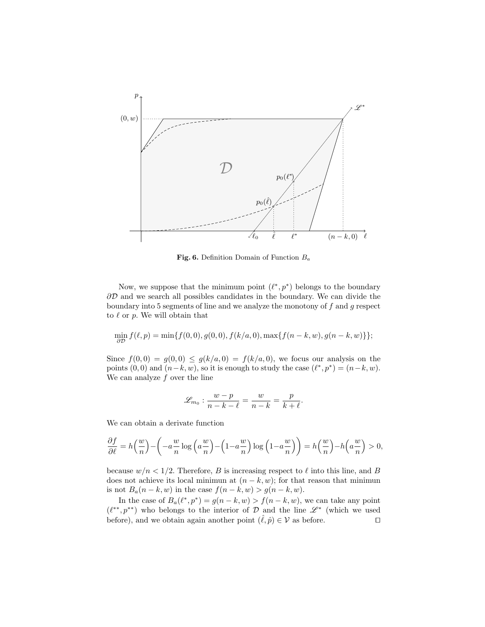

Fig. 6. Definition Domain of Function  $B_a$ 

Now, we suppose that the minimum point  $(\ell^*, p^*)$  belongs to the boundary  $\partial\mathcal{D}$  and we search all possibles candidates in the boundary. We can divide the boundary into 5 segments of line and we analyze the monotony of  $f$  and  $g$  respect to  $\ell$  or  $p$ . We will obtain that

$$
\min_{\partial \mathcal{D}} f(\ell,p) = \min \{f(0,0), g(0,0), f(k/a,0), \max \{f(n-k,w), g(n-k,w)\}\};
$$

Since  $f(0,0) = g(0,0) \leq g(k/a,0) = f(k/a,0)$ , we focus our analysis on the points  $(0,0)$  and  $(n-k, w)$ , so it is enough to study the case  $(\ell^*, p^*) = (n-k, w)$ . We can analyze  $f$  over the line

$$
\mathscr{L}_{m_0}: \frac{w-p}{n-k-\ell}=\frac{w}{n-k}=\frac{p}{k+\ell}
$$

.

We can obtain a derivate function

$$
\frac{\partial f}{\partial \ell} = h\left(\frac{w}{n}\right) - \left(-a\frac{w}{n}\log\left(a\frac{w}{n}\right) - \left(1 - a\frac{w}{n}\right)\log\left(1 - a\frac{w}{n}\right)\right) = h\left(\frac{w}{n}\right) - h\left(a\frac{w}{n}\right) > 0,
$$

because  $w/n < 1/2$ . Therefore, B is increasing respect to  $\ell$  into this line, and B does not achieve its local minimun at  $(n - k, w)$ ; for that reason that minimun is not  $B_a(n-k, w)$  in the case  $f(n-k, w) > g(n-k, w)$ .

In the case of  $B_a(\ell^*, p^*) = g(n - k, w) > f(n - k, w)$ , we can take any point  $(\ell^{**}, p^{**})$  who belongs to the interior of D and the line  $\mathscr{L}^*$  (which we used before), and we obtain again another point  $(\ell, \hat{p}) \in \mathcal{V}$  as before.  $\square$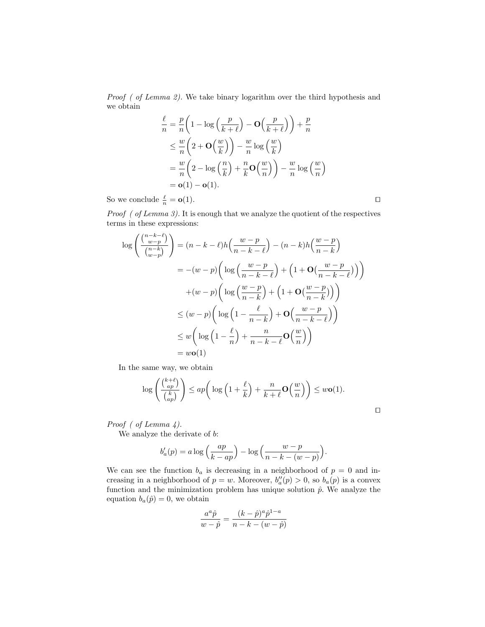Proof ( of Lemma 2). We take binary logarithm over the third hypothesis and we obtain

$$
\frac{\ell}{n} = \frac{p}{n} \left( 1 - \log \left( \frac{p}{k + \ell} \right) - \mathbf{O} \left( \frac{p}{k + \ell} \right) \right) + \frac{p}{n}
$$
\n
$$
\leq \frac{w}{n} \left( 2 + \mathbf{O} \left( \frac{w}{k} \right) \right) - \frac{w}{n} \log \left( \frac{w}{k} \right)
$$
\n
$$
= \frac{w}{n} \left( 2 - \log \left( \frac{n}{k} \right) + \frac{n}{k} \mathbf{O} \left( \frac{w}{n} \right) \right) - \frac{w}{n} \log \left( \frac{w}{n} \right)
$$
\n
$$
= \mathbf{o}(1) - \mathbf{o}(1).
$$

So we conclude  $\frac{\ell}{n} = \mathbf{o}(1)$ .

 $\Box$ 

Proof ( of Lemma 3). It is enough that we analyze the quotient of the respectives terms in these expressions:

$$
\log\left(\frac{\binom{n-k-\ell}{w-p}}{\binom{n-k}{w-p}}\right) = (n-k-\ell)h\left(\frac{w-p}{n-k-\ell}\right) - (n-k)h\left(\frac{w-p}{n-k}\right)
$$

$$
= -(w-p)\left(\log\left(\frac{w-p}{n-k-\ell}\right) + \left(1+\mathbf{O}\left(\frac{w-p}{n-k-\ell}\right)\right)\right)
$$

$$
+(w-p)\left(\log\left(\frac{w-p}{n-k}\right) + \left(1+\mathbf{O}\left(\frac{w-p}{n-k}\right)\right)\right)
$$

$$
\leq (w-p)\left(\log\left(1-\frac{\ell}{n-k}\right) + \mathbf{O}\left(\frac{w-p}{n-k-\ell}\right)\right)
$$

$$
\leq w\left(\log\left(1-\frac{\ell}{n}\right) + \frac{n}{n-k-\ell}\mathbf{O}\left(\frac{w}{n}\right)\right)
$$

$$
= w\mathbf{o}(1)
$$

In the same way, we obtain

$$
\log\left(\frac{\binom{k+\ell}{ap}}{\binom{k}{ap}}\right) \le ap\left(\log\left(1+\frac{\ell}{k}\right)+\frac{n}{k+\ell}\mathbf{O}\left(\frac{w}{n}\right)\right) \le w\mathbf{o}(1).
$$

Proof ( of Lemma 4).

We analyze the derivate of  $b$ :

$$
b'_a(p) = a \log \left(\frac{ap}{k - ap}\right) - \log \left(\frac{w - p}{n - k - (w - p)}\right).
$$

We can see the function  $b_a$  is decreasing in a neighborhood of  $p = 0$  and increasing in a neighborhood of  $p = w$ . Moreover,  $b''_a(p) > 0$ , so  $b_a(p)$  is a convex function and the minimization problem has unique solution  $\hat{p}$ . We analyze the equation  $b_a(\hat{p}) = 0$ , we obtain

$$
\frac{a^a\hat{p}}{w-\hat{p}} = \frac{(k-\hat{p})^a\hat{p}^{1-a}}{n-k-(w-\hat{p})}
$$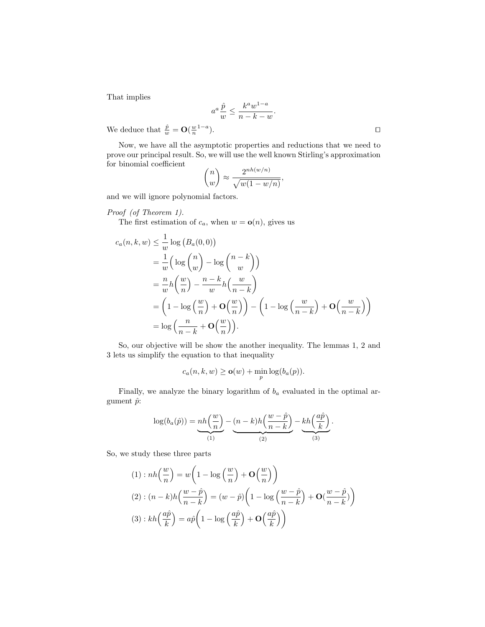That implies

$$
a^a \frac{\hat{p}}{w} \le \frac{k^a w^{1-a}}{n-k-w}.
$$

We deduce that  $\frac{\hat{p}}{w} = \mathbf{O}(\frac{w}{n}^{1-a})$ 

Now, we have all the asymptotic properties and reductions that we need to prove our principal result. So, we will use the well known Stirling's approximation for binomial coefficient

$$
\binom{n}{w} \approx \frac{2^{nh(w/n)}}{\sqrt{w(1-w/n)}},
$$

and we will ignore polynomial factors.

Proof (of Theorem 1).

The first estimation of  $c_a$ , when  $w = \mathbf{o}(n)$ , gives us

$$
c_a(n, k, w) \leq \frac{1}{w} \log (B_a(0, 0))
$$
  
=  $\frac{1}{w} (\log {n \choose w} - \log {n-k \choose w})$   
=  $\frac{n}{w} h \left( \frac{w}{n} \right) - \frac{n-k}{w} h \left( \frac{w}{n-k} \right)$   
=  $\left( 1 - \log \left( \frac{w}{n} \right) + \mathbf{O} \left( \frac{w}{n} \right) \right) - \left( 1 - \log \left( \frac{w}{n-k} \right) + \mathbf{O} \left( \frac{w}{n-k} \right) \right)$   
=  $\log \left( \frac{n}{n-k} + \mathbf{O} \left( \frac{w}{n} \right) \right).$ 

So, our objective will be show the another inequality. The lemmas 1, 2 and 3 lets us simplify the equation to that inequality

$$
c_a(n,k,w) \geq \mathbf{o}(w) + \min_p \log(b_a(p)).
$$

Finally, we analyze the binary logarithm of  $b_a$  evaluated in the optimal argument  $\hat{p}$ :

$$
\log(b_a(\hat{p})) = \underbrace{nh\left(\frac{w}{n}\right)}_{(1)} - \underbrace{(n-k)h\left(\frac{w-\hat{p}}{n-k}\right)}_{(2)} - \underbrace{kh\left(\frac{a\hat{p}}{k}\right)}_{(3)}.
$$

So, we study these three parts

$$
(1): nh\left(\frac{w}{n}\right) = w\left(1 - \log\left(\frac{w}{n}\right) + \mathbf{O}\left(\frac{w}{n}\right)\right)
$$

$$
(2): (n - k)h\left(\frac{w - \hat{p}}{n - k}\right) = (w - \hat{p})\left(1 - \log\left(\frac{w - \hat{p}}{n - k}\right) + \mathbf{O}\left(\frac{w - \hat{p}}{n - k}\right)\right)
$$

$$
(3): kh\left(\frac{a\hat{p}}{k}\right) = a\hat{p}\left(1 - \log\left(\frac{a\hat{p}}{k}\right) + \mathbf{O}\left(\frac{a\hat{p}}{k}\right)\right)
$$

).  $\qquad \qquad \Box$